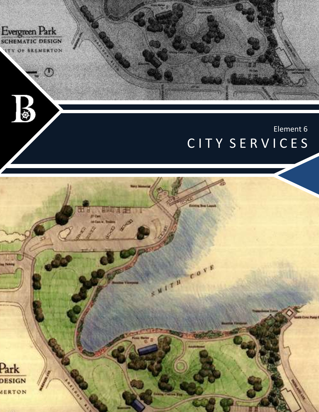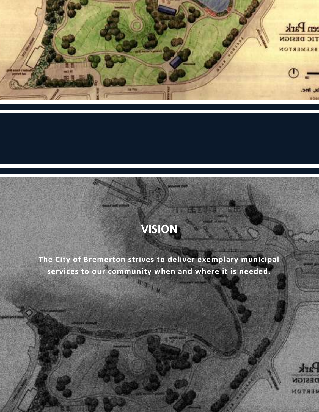

# **VISION**

**The City of Bremerton strives to deliver exemplary municipal services to our community when and where it is needed.** 

*City of Bremerton Comprehensive Plan* CS-2

City Services Element – Planning Commission Public Hearing Draft (November 2015)

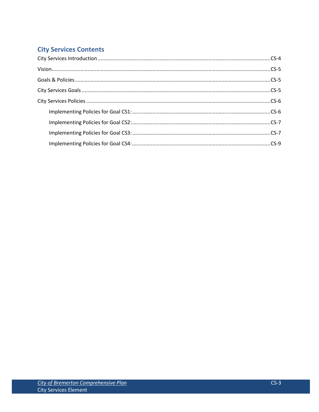### **City Services Contents**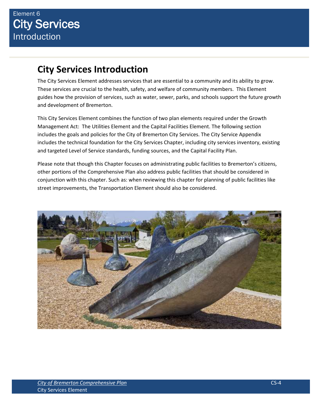# **City Services Introduction**

The City Services Element addresses services that are essential to a community and its ability to grow. These services are crucial to the health, safety, and welfare of community members. This Element guides how the provision of services, such as water, sewer, parks, and schools support the future growth and development of Bremerton.

This City Services Element combines the function of two plan elements required under the Growth Management Act: The Utilities Element and the Capital Facilities Element. The following section includes the goals and policies for the City of Bremerton City Services. The City Service Appendix includes the technical foundation for the City Services Chapter, including city services inventory, existing and targeted Level of Service standards, funding sources, and the Capital Facility Plan.

Please note that though this Chapter focuses on administrating public facilities to Bremerton's citizens, other portions of the Comprehensive Plan also address public facilities that should be considered in conjunction with this chapter. Such as: when reviewing this chapter for planning of public facilities like street improvements, the Transportation Element should also be considered.

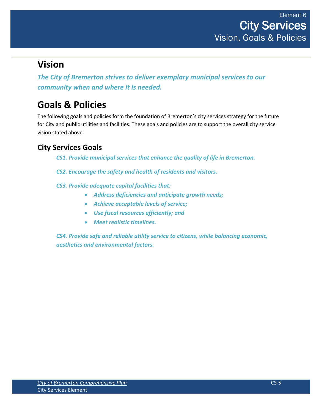## **Vision**

*The City of Bremerton strives to deliver exemplary municipal services to our community when and where it is needed.*

# **Goals & Policies**

The following goals and policies form the foundation of Bremerton's city services strategy for the future for City and public utilities and facilities. These goals and policies are to support the overall city service vision stated above.

### **City Services Goals**

*CS1. Provide municipal services that enhance the quality of life in Bremerton.*

- *CS2. Encourage the safety and health of residents and visitors.*
- *CS3. Provide adequate capital facilities that:*
	- *Address deficiencies and anticipate growth needs;*
	- *Achieve acceptable levels of service;*
	- *Use fiscal resources efficiently; and*
	- *Meet realistic timelines.*

*CS4. Provide safe and reliable utility service to citizens, while balancing economic, aesthetics and environmental factors.*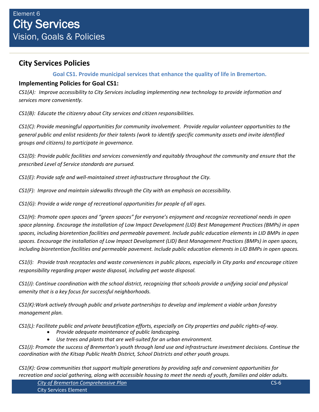### **City Services Policies**

#### **Goal CS1. Provide municipal services that enhance the quality of life in Bremerton.**

#### **Implementing Policies for Goal CS1:**

*CS1(A): Improve accessibility to City Services including implementing new technology to provide information and services more conveniently.*

*CS1(B): Educate the citizenry about City services and citizen responsibilities.*

*CS1(C): Provide meaningful opportunities for community involvement. Provide regular volunteer opportunities to the general public and enlist residents for their talents (work to identify specific community assets and invite identified groups and citizens) to participate in governance.*

*CS1(D): Provide public facilities and services conveniently and equitably throughout the community and ensure that the prescribed Level of Service standards are pursued.*

*CS1(E): Provide safe and well-maintained street infrastructure throughout the City.*

*CS1(F): Improve and maintain sidewalks through the City with an emphasis on accessibility.* 

*CS1(G): Provide a wide range of recreational opportunities for people of all ages.*

*CS1(H): Promote open spaces and "green spaces" for everyone's enjoyment and recognize recreational needs in open space planning. Encourage the installation of Low Impact Development (LID) Best Management Practices (BMPs) in open spaces, including bioretention facilities and permeable pavement. Include public education elements in LID BMPs in open spaces. Encourage the installation of Low Impact Development (LID) Best Management Practices (BMPs) in open spaces, including bioretention facilities and permeable pavement. Include public education elements in LID BMPs in open spaces.*

*CS1(I): Provide trash receptacles and waste conveniences in public places, especially in City parks and encourage citizen responsibility regarding proper waste disposal, including pet waste disposal.*

*CS1(J): Continue coordination with the school district, recognizing that schools provide a unifying social and physical amenity that is a key focus for successful neighborhoods.*

*CS1(K):Work actively through public and private partnerships to develop and implement a viable urban forestry management plan.*

*CS1(L): Facilitate public and private beautification efforts, especially on City properties and public rights-of-way.* 

- *Provide adequate maintenance of public landscaping.*
- *Use trees and plants that are well-suited for an urban environment.*

*CS1(J): Promote the success of Bremerton's youth through land use and infrastructure investment decisions. Continue the coordination with the Kitsap Public Health District, School Districts and other youth groups.* 

*CS1(K): Grow communities that support multiple generations by providing safe and convenient opportunities for recreation and social gathering, along with accessible housing to meet the needs of youth, families and older adults.*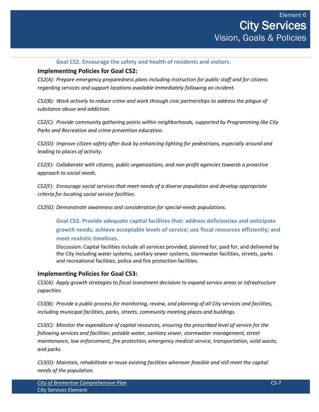#### **Goal CS2. Encourage the safety and health of residents and visitors.**

#### **Implementing Policies for Goal CS2:**

*CS2(A): Prepare emergency preparedness plans including instruction for public staff and for citizens regarding services and support locations available immediately following an incident.* 

*CS2(B): Work actively to reduce crime and work through civic partnerships to address the plague of substance abuse and addiction.* 

*CS2(C): Provide community gathering points within neighborhoods, supported by Programming like City Parks and Recreation and crime prevention education.* 

*CS2(D): Improve citizen safety after dusk by enhancing lighting for pedestrians, especially around and leading to places of activity.* 

*CS2(E): Collaborate with citizens, public organizations, and non-profit agencies towards a proactive approach to social needs.* 

*CS2(F): Encourage social services that meet needs of a diverse population and develop appropriate criteria for locating social service facilities.* 

*CS2(G): Demonstrate awareness and consideration for special-needs populations.* 

**Goal CS3. Provide adequate capital facilities that: address deficiencies and anticipate growth needs; achieve acceptable levels of service; use fiscal resources efficiently; and meet realistic timelines.** 

Discussion: Capital facilities include all services provided, planned for, paid for, and delivered by the City including water systems, sanitary sewer systems, stormwater facilities, streets, parks and recreational facilities, police and fire protection facilities.

#### **Implementing Policies for Goal CS3:**

*CS3(A): Apply growth strategies to fiscal investment decisions to expand service areas or infrastructure capacities.* 

*CS3(B): Provide a public process for monitoring, review, and planning of all City services and facilities, including municipal facilities, parks, streets, community meeting places and buildings.* 

*CS3(C): Monitor the expenditure of capital resources, ensuring the prescribed level of service for the following services and facilities: potable water, sanitary sewer, stormwater management, street maintenance, law enforcement, fire protection, emergency medical service, transportation, solid waste, and parks.* 

*CS3(D): Maintain, rehabilitate or reuse existing facilities wherever feasible and still meet the capital needs of the population.*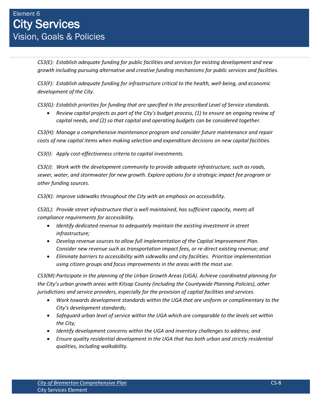*CS3(E): Establish adequate funding for public facilities and services for existing development and new growth including pursuing alternative and creative funding mechanisms for public services and facilities.*

*CS3(F): Establish adequate funding for infrastructure critical to the health, well-being, and economic development of the City.*

*CS3(G): Establish priorities for funding that are specified in the prescribed Level of Service standards.*

 *Review capital projects as part of the City's budget process, (1) to ensure an ongoing review of capital needs, and (2) so that capital and operating budgets can be considered together.*

*CS3(H): Manage a comprehensive maintenance program and consider future maintenance and repair costs of new capital items when making selection and expenditure decisions on new capital facilities.*

*CS3(I): Apply cost-effectiveness criteria to capital investments.*

*CS3(J): Work with the development community to provide adequate infrastructure, such as roads, sewer, water, and stormwater for new growth. Explore options for a strategic impact fee program or other funding sources.*

*CS3(K): Improve sidewalks throughout the City with an emphasis on accessibility.* 

*CS3(L): Provide street infrastructure that is well maintained, has sufficient capacity, meets all compliance requirements for accessibility.*

- *Identify dedicated revenue to adequately maintain the existing investment in street infrastructure;*
- *Develop revenue sources to allow full implementation of the Capital Improvement Plan. Consider new revenue such as transportation impact fees, or re-direct existing revenue; and*
- *Eliminate barriers to accessibility with sidewalks and city facilities. Prioritize implementation using citizen groups and focus improvements in the areas with the most use.*

*CS3(M):Participate in the planning of the Urban Growth Areas (UGA). Achieve coordinated planning for the City's urban growth areas with Kitsap County (including the Countywide Planning Policies), other jurisdictions and service providers, especially for the provision of capital facilities and services.*

- *Work towards development standards within the UGA that are uniform or complimentary to the City's development standards;*
- *Safeguard urban level of service within the UGA which are comparable to the levels set within the City;*
- *Identify development concerns within the UGA and inventory challenges to address; and*
- *Ensure quality residential development in the UGA that has both urban and strictly residential qualities, including walkability.*